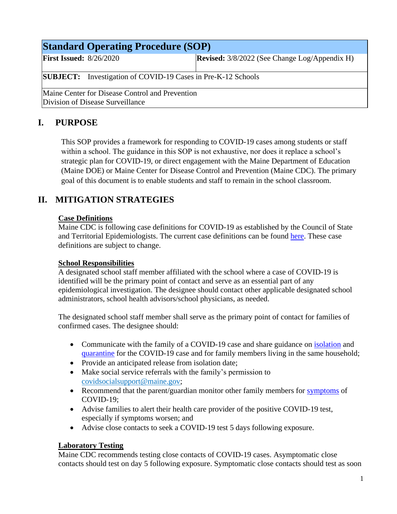| <b>Standard Operating Procedure (SOP)</b>                                           |  |                                                      |  |  |
|-------------------------------------------------------------------------------------|--|------------------------------------------------------|--|--|
| <b>First Issued:</b> $8/26/2020$                                                    |  | <b>Revised:</b> 3/8/2022 (See Change Log/Appendix H) |  |  |
| <b>SUBJECT:</b> Investigation of COVID-19 Cases in Pre-K-12 Schools                 |  |                                                      |  |  |
| Maine Center for Disease Control and Prevention<br>Division of Disease Surveillance |  |                                                      |  |  |

# **I. PURPOSE**

This SOP provides a framework for responding to COVID-19 cases among students or staff within a school. The guidance in this SOP is not exhaustive, nor does it replace a school's strategic plan for COVID-19, or direct engagement with the Maine Department of Education (Maine DOE) or Maine Center for Disease Control and Prevention (Maine CDC). The primary goal of this document is to enable students and staff to remain in the school classroom.

# **II. MITIGATION STRATEGIES**

## **Case Definitions**

Maine CDC is following case definitions for COVID-19 as established by the Council of State and Territorial Epidemiologists. The current case definitions can be found [here.](https://cdn.ymaws.com/www.cste.org/resource/resmgr/21-ID-01_COVID-19_updated_Au.pdf) These case definitions are subject to change.

#### **School Responsibilities**

A designated school staff member affiliated with the school where a case of COVID-19 is identified will be the primary point of contact and serve as an essential part of any epidemiological investigation. The designee should contact other applicable designated school administrators, school health advisors/school physicians, as needed.

The designated school staff member shall serve as the primary point of contact for families of confirmed cases. The designee should:

- Communicate with the family of a COVID-19 case and share guidance on [isolation](https://www.maine.gov/dhhs/mecdc/infectious-disease/epi/airborne/documents/COVID-19-Isolation-Flow-Chart.pdf) and [quarantine](https://www.maine.gov/dhhs/mecdc/infectious-disease/epi/airborne/documents/COVID-19-Quarantine-Flow-Chart.pdf) for the COVID-19 case and for family members living in the same household;
- Provide an anticipated release from isolation date;
- Make social service referrals with the family's permission to [covidsocialsupport@maine.gov;](mailto:covidsocialsupport@maine.gov)
- Recommend that the parent/guardian monitor other family members for [symptoms](https://www.cdc.gov/coronavirus/2019-ncov/symptoms-testing/symptoms.html) of COVID-19;
- Advise families to alert their health care provider of the positive COVID-19 test, especially if symptoms worsen; and
- Advise close contacts to seek a COVID-19 test 5 days following exposure.

## **Laboratory Testing**

Maine CDC recommends testing close contacts of COVID-19 cases. Asymptomatic close contacts should test on day 5 following exposure. Symptomatic close contacts should test as soon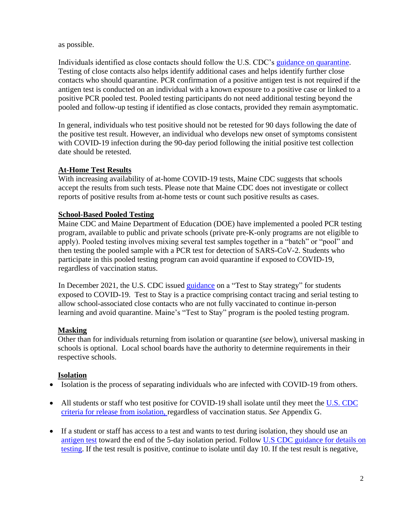as possible.

Individuals identified as close contacts should follow the U.S. CDC's [guidance on quarantine.](https://www.cdc.gov/coronavirus/2019-ncov/your-health/quarantine-isolation.html#quarantine) Testing of close contacts also helps identify additional cases and helps identify further close contacts who should quarantine. PCR confirmation of a positive antigen test is not required if the antigen test is conducted on an individual with a known exposure to a positive case or linked to a positive PCR pooled test. Pooled testing participants do not need additional testing beyond the pooled and follow-up testing if identified as close contacts, provided they remain asymptomatic.

In general, individuals who test positive should not be retested for 90 days following the date of the positive test result. However, an individual who develops new onset of symptoms consistent with COVID-19 infection during the 90-day period following the initial positive test collection date should be retested.

## **At-Home Test Results**

With increasing availability of at-home COVID-19 tests, Maine CDC suggests that schools accept the results from such tests. Please note that Maine CDC does not investigate or collect reports of positive results from at-home tests or count such positive results as cases.

#### **School-Based Pooled Testing**

Maine CDC and Maine Department of Education (DOE) have implemented a pooled PCR testing program, available to public and private schools (private pre-K-only programs are not eligible to apply). Pooled testing involves mixing several test samples together in a "batch" or "pool" and then testing the pooled sample with a PCR test for detection of SARS-CoV-2. Students who participate in this pooled testing program can avoid quarantine if exposed to COVID-19, regardless of vaccination status.

In December 2021, the U.S. CDC issued [guidance](https://www.cdc.gov/coronavirus/2019-ncov/science/science-briefs/transmission_k_12_schools.html) on a "Test to Stay strategy" for students exposed to COVID-19. Test to Stay is a practice comprising contact tracing and serial testing to allow school-associated close contacts who are not fully vaccinated to continue in-person learning and avoid quarantine. Maine's "Test to Stay" program is the pooled testing program.

#### **Masking**

Other than for individuals returning from isolation or quarantine (*see* below), universal masking in schools is optional. Local school boards have the authority to determine requirements in their respective schools.

#### **Isolation**

- Isolation is the process of separating individuals who are infected with COVID-19 from others.
- All students or staff who test positive for COVID-19 shall isolate until they meet the U.S. CDC [criteria for release from isolation,](https://www.cdc.gov/coronavirus/2019-ncov/your-health/quarantine-isolation.html) regardless of vaccination status. *See* Appendix G.
- If a student or staff has access to a test and wants to test during isolation, they should use an [antigen test](https://www.cdc.gov/coronavirus/2019-ncov/hcp/testing-overview.html) toward the end of the 5-day isolation period. Follow [U.S CDC guidance for details on](https://www.cdc.gov/coronavirus/2019-ncov/your-health/quarantine-isolation.html)  [testing.](https://www.cdc.gov/coronavirus/2019-ncov/your-health/quarantine-isolation.html) If the test result is positive, continue to isolate until day 10. If the test result is negative,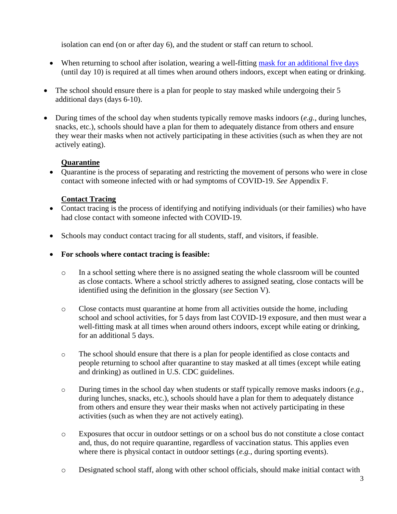isolation can end (on or after day 6), and the student or staff can return to school.

- When returning to school after isolation, [wearing a well-fitting mask](https://www.cdc.gov/coronavirus/2019-ncov/your-health/effective-masks.html) for an additional five days (until day 10) is required at all times when around others indoors, except when eating or drinking.
- The school should ensure there is a plan for people to stay masked while undergoing their 5 additional days (days 6-10).
- During times of the school day when students typically remove masks indoors (*e.g.*, during lunches, snacks, etc.), schools should have a plan for them to adequately distance from others and ensure they wear their masks when not actively participating in these activities (such as when they are not actively eating).

## **Quarantine**

• Quarantine is the process of separating and restricting the movement of persons who were in close contact with someone infected with or had symptoms of COVID-19. *See* Appendix F.

## **Contact Tracing**

- Contact tracing is the process of identifying and notifying individuals (or their families) who have had close contact with someone infected with COVID-19.
- Schools may conduct contact tracing for all students, staff, and visitors, if feasible.
- **For schools where contact tracing is feasible:**
	- o In a school setting where there is no assigned seating the whole classroom will be counted as close contacts. Where a school strictly adheres to assigned seating, close contacts will be identified using the definition in the glossary (*see* Section V).
	- o Close contacts must quarantine at home from all activities outside the home, including school and school activities, for 5 days from last COVID-19 exposure, and then must wear a well-fitting mask at all times when around others indoors, except while eating or drinking, for an additional 5 days.
	- o The school should ensure that there is a plan for people identified as close contacts and people returning to school after quarantine to stay masked at all times (except while eating and drinking) as outlined in U.S. [CDC guidelines.](https://www.cdc.gov/coronavirus/2019-ncov/community/schools-childcare/k-12-guidance.html)
	- o During times in the school day when students or staff typically remove masks indoors (*e.g.*, during lunches, snacks, etc.), schools should have a plan for them to adequately distance from others and ensure they wear their masks when not actively participating in these activities (such as when they are not actively eating).
	- o Exposures that occur in outdoor settings or on a school bus do not constitute a close contact and, thus, do not require quarantine, regardless of vaccination status. This applies even where there is physical contact in outdoor settings (*e.g.*, during sporting events).
	- o Designated school staff, along with other school officials, should make initial contact with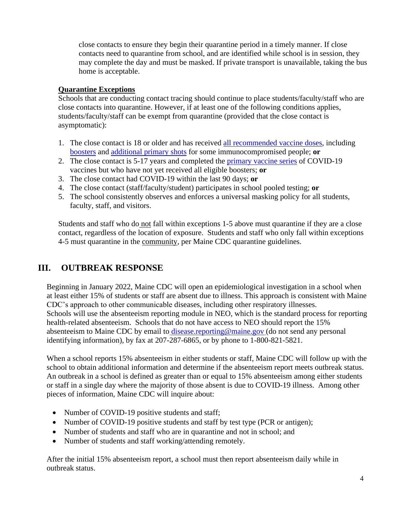close contacts to ensure they begin their quarantine period in a timely manner. If close contacts need to quarantine from school, and are identified while school is in session, they may complete the day and must be masked. If private transport is unavailable, taking the bus home is acceptable.

#### **Quarantine Exceptions**

Schools that are conducting contact tracing should continue to place students/faculty/staff who are close contacts into quarantine. However, if at least one of the following conditions applies, students/faculty/staff can be exempt from quarantine (provided that the close contact is asymptomatic):

- 1. The close contact is 18 or older and has received [all recommended vaccine doses,](https://www.cdc.gov/coronavirus/2019-ncov/vaccines/booster-shot.html) including [boosters](https://www.cdc.gov/coronavirus/2019-ncov/vaccines/booster-shot.html) and [additional primary shots](https://www.cdc.gov/coronavirus/2019-ncov/vaccines/recommendations/immuno.html) for some immunocompromised people; **or**
- 2. The close contact is 5-17 years and completed the [primary](https://www.cdc.gov/vaccines/covid-19/clinical-considerations/covid-19-vaccines-us.html?CDC_AA_refVal=https%3A%2F%2Fwww.cdc.gov%2Fvaccines%2Fcovid-19%2Finfo-by-product%2Fclinical-considerations.html#children) vaccine series of COVID-19 vaccines but who have not yet received all eligible boosters; **or**
- 3. The close contact had COVID-19 within the last 90 days; **or**
- 4. The close contact (staff/faculty/student) participates in school pooled testing; **or**
- 5. The school consistently observes and enforces a universal masking policy for all students, faculty, staff, and visitors.

Students and staff who do not fall within exceptions 1-5 above must quarantine if they are a close contact, regardless of the location of exposure. Students and staff who only fall within exceptions 4-5 must quarantine in the community, per Maine CDC quarantine guidelines.

# **III. OUTBREAK RESPONSE**

Beginning in January 2022, Maine CDC will open an epidemiological investigation in a school when at least either 15% of students or staff are absent due to illness. This approach is consistent with Maine CDC's approach to other communicable diseases, including other respiratory illnesses. Schools will use the absenteeism reporting module in NEO, which is the standard process for reporting health-related absenteeism. Schools that do not have access to NEO should report the 15% absenteeism to Maine CDC by email to [disease.reporting@maine.gov](mailto:disease.reporting@maine.gov) (do not send any personal identifying information), by fax at 207-287-6865, or by phone to 1-800-821-5821.

When a school reports 15% absenteeism in either students or staff, Maine CDC will follow up with the school to obtain additional information and determine if the absenteeism report meets outbreak status. An outbreak in a school is defined as greater than or equal to 15% absenteeism among either students or staff in a single day where the majority of those absent is due to COVID-19 illness. Among other pieces of information, Maine CDC will inquire about:

- Number of COVID-19 positive students and staff;
- Number of COVID-19 positive students and staff by test type (PCR or antigen);
- Number of students and staff who are in quarantine and not in school; and
- Number of students and staff working/attending remotely.

After the initial 15% absenteeism report, a school must then report absenteeism daily while in outbreak status.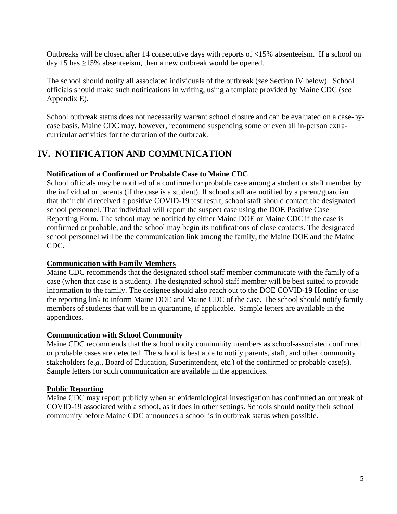Outbreaks will be closed after 14 consecutive days with reports of <15% absenteeism. If a school on day 15 has  $\geq$ 15% absenteeism, then a new outbreak would be opened.

The school should notify all associated individuals of the outbreak (*see* Section IV below). School officials should make such notifications in writing, using a template provided by Maine CDC (*see* Appendix E).

School outbreak status does not necessarily warrant school closure and can be evaluated on a case-bycase basis. Maine CDC may, however, recommend suspending some or even all in-person extracurricular activities for the duration of the outbreak.

# **IV. NOTIFICATION AND COMMUNICATION**

#### **Notification of a Confirmed or Probable Case to Maine CDC**

School officials may be notified of a confirmed or probable case among a student or staff member by the individual or parents (if the case is a student). If school staff are notified by a parent/guardian that their child received a positive COVID-19 test result, school staff should contact the designated school personnel. That individual will report the suspect case using the [DOE Positive Case](https://forms.office.com/Pages/ResponsePage.aspx?id=q6g_QX0gYkubzeoajy-GTiS6c3ulgd1ClhihpT7nYtJURE01UzVXQ0FGMUpFMjdVSUExSk02VU1INCQlQCN0PWcu)  [Reporting Form.](https://forms.office.com/Pages/ResponsePage.aspx?id=q6g_QX0gYkubzeoajy-GTiS6c3ulgd1ClhihpT7nYtJURE01UzVXQ0FGMUpFMjdVSUExSk02VU1INCQlQCN0PWcu) The school may be notified by either Maine DOE or Maine CDC if the case is confirmed or probable, and the school may begin its notifications of close contacts. The designated school personnel will be the communication link among the family, the Maine DOE and the Maine CDC.

#### **Communication with Family Members**

Maine CDC recommends that the designated school staff member communicate with the family of a case (when that case is a student). The designated school staff member will be best suited to provide information to the family. The designee should also reach out to the DOE COVID-19 Hotline or use the reporting link to inform Maine DOE and Maine CDC of the case. The school should notify family members of students that will be in quarantine, if applicable. Sample letters are available in the appendices.

#### **Communication with School Community**

Maine CDC recommends that the school notify community members as school-associated confirmed or probable cases are detected. The school is best able to notify parents, staff, and other community stakeholders (*e.g.*, Board of Education, Superintendent, etc.) of the confirmed or probable case(s). Sample letters for such communication are available in the appendices.

#### **Public Reporting**

Maine CDC may report publicly when an epidemiological investigation has confirmed an outbreak of COVID-19 associated with a school, as it does in other settings. Schools should notify their school community before Maine CDC announces a school is in outbreak status when possible.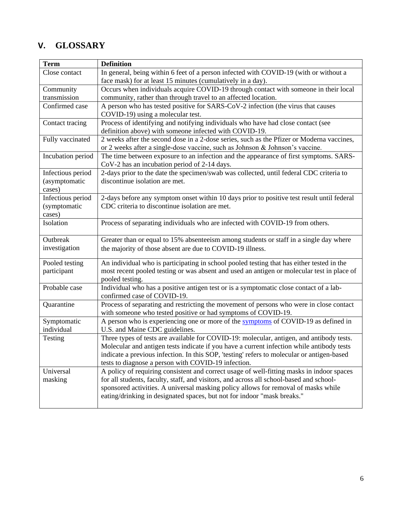# **V. GLOSSARY**

| <b>Term</b>       | <b>Definition</b>                                                                          |  |  |
|-------------------|--------------------------------------------------------------------------------------------|--|--|
| Close contact     | In general, being within 6 feet of a person infected with COVID-19 (with or without a      |  |  |
|                   | face mask) for at least 15 minutes (cumulatively in a day).                                |  |  |
| Community         | Occurs when individuals acquire COVID-19 through contact with someone in their local       |  |  |
| transmission      | community, rather than through travel to an affected location.                             |  |  |
| Confirmed case    | A person who has tested positive for SARS-CoV-2 infection (the virus that causes           |  |  |
|                   | COVID-19) using a molecular test.                                                          |  |  |
| Contact tracing   | Process of identifying and notifying individuals who have had close contact (see           |  |  |
|                   | definition above) with someone infected with COVID-19.                                     |  |  |
| Fully vaccinated  | 2 weeks after the second dose in a 2-dose series, such as the Pfizer or Moderna vaccines,  |  |  |
|                   | or 2 weeks after a single-dose vaccine, such as Johnson & Johnson's vaccine.               |  |  |
| Incubation period | The time between exposure to an infection and the appearance of first symptoms. SARS-      |  |  |
|                   | CoV-2 has an incubation period of 2-14 days.                                               |  |  |
| Infectious period | 2-days prior to the date the specimen/swab was collected, until federal CDC criteria to    |  |  |
| (asymptomatic     | discontinue isolation are met.                                                             |  |  |
| cases)            |                                                                                            |  |  |
| Infectious period | 2-days before any symptom onset within 10 days prior to positive test result until federal |  |  |
| (symptomatic      | CDC criteria to discontinue isolation are met.                                             |  |  |
| cases)            |                                                                                            |  |  |
| Isolation         | Process of separating individuals who are infected with COVID-19 from others.              |  |  |
|                   |                                                                                            |  |  |
| Outbreak          | Greater than or equal to 15% absenteeism among students or staff in a single day where     |  |  |
| investigation     | the majority of those absent are due to COVID-19 illness.                                  |  |  |
| Pooled testing    | An individual who is participating in school pooled testing that has either tested in the  |  |  |
| participant       | most recent pooled testing or was absent and used an antigen or molecular test in place of |  |  |
|                   | pooled testing.                                                                            |  |  |
| Probable case     | Individual who has a positive antigen test or is a symptomatic close contact of a lab-     |  |  |
|                   | confirmed case of COVID-19.                                                                |  |  |
| Quarantine        | Process of separating and restricting the movement of persons who were in close contact    |  |  |
|                   | with someone who tested positive or had symptoms of COVID-19.                              |  |  |
| Symptomatic       | A person who is experiencing one or more of the symptoms of COVID-19 as defined in         |  |  |
| individual        | U.S. and Maine CDC guidelines.                                                             |  |  |
| Testing           | Three types of tests are available for COVID-19: molecular, antigen, and antibody tests.   |  |  |
|                   | Molecular and antigen tests indicate if you have a current infection while antibody tests  |  |  |
|                   | indicate a previous infection. In this SOP, 'testing' refers to molecular or antigen-based |  |  |
|                   | tests to diagnose a person with COVID-19 infection.                                        |  |  |
| Universal         | A policy of requiring consistent and correct usage of well-fitting masks in indoor spaces  |  |  |
| masking           | for all students, faculty, staff, and visitors, and across all school-based and school-    |  |  |
|                   | sponsored activities. A universal masking policy allows for removal of masks while         |  |  |
|                   | eating/drinking in designated spaces, but not for indoor "mask breaks."                    |  |  |
|                   |                                                                                            |  |  |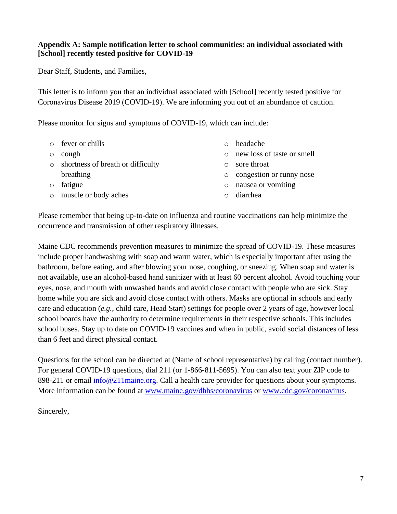#### **Appendix A: Sample notification letter to school communities: an individual associated with [School] recently tested positive for COVID-19**

Dear Staff, Students, and Families,

This letter is to inform you that an individual associated with [School] recently tested positive for Coronavirus Disease 2019 (COVID-19). We are informing you out of an abundance of caution.

Please monitor for signs and symptoms of COVID-19, which can include:

|         | $\circ$ fever or chills             | $\Omega$ | headache                   |
|---------|-------------------------------------|----------|----------------------------|
| $\circ$ | cough                               | $\circ$  | new loss of taste or smell |
|         | o shortness of breath or difficulty | $\Omega$ | sore throat                |
|         | breathing                           | $\circ$  | congestion or runny nose   |
| $\circ$ | fatigue                             |          | o nausea or vomiting       |
| $\circ$ | muscle or body aches                |          | diarrhea                   |
|         |                                     |          |                            |

Please remember that being up-to-date on influenza and routine vaccinations can help minimize the occurrence and transmission of other respiratory illnesses.

Maine CDC recommends prevention measures to minimize the spread of COVID-19. These measures include proper handwashing with soap and warm water, which is especially important after using the bathroom, before eating, and after blowing your nose, coughing, or sneezing. When soap and water is not available, use an alcohol-based hand sanitizer with at least 60 percent alcohol. Avoid touching your eyes, nose, and mouth with unwashed hands and avoid close contact with people who are sick. Stay home while you are sick and avoid close contact with others. Masks are optional in schools and early care and education (*e.g.*, child care, Head Start) settings for people over 2 years of age, however local school boards have the authority to determine requirements in their respective schools. This includes school buses. Stay up to date on COVID-19 vaccines and when in public, avoid social distances of less than 6 feet and direct physical contact.

Questions for the school can be directed at (Name of school representative) by calling (contact number). For general COVID-19 questions, dial 211 (or 1-866-811-5695). You can also text your ZIP code to 898-211 or email [info@211maine.org.](mailto:info@211maine.org) Call a health care provider for questions about your symptoms. More information can be found at [www.maine.gov/dhhs/coronavirus](http://www.maine.gov/dhhs/coronavirus) or [www.cdc.gov/coronavirus.](http://www.cdc.gov/coronavirus)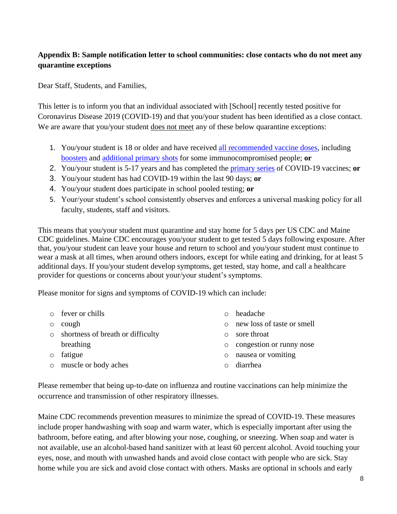## **Appendix B: Sample notification letter to school communities: close contacts who do not meet any quarantine exceptions**

Dear Staff, Students, and Families,

This letter is to inform you that an individual associated with [School] recently tested positive for Coronavirus Disease 2019 (COVID-19) and that you/your student has been identified as a close contact. We are aware that you/your student does not meet any of these below quarantine exceptions:

- 1. You/your student is 18 or older and have received [all recommended vaccine doses,](https://www.cdc.gov/coronavirus/2019-ncov/vaccines/booster-shot.html) including [boosters](https://www.cdc.gov/coronavirus/2019-ncov/vaccines/booster-shot.html) and [additional primary shots](https://www.cdc.gov/coronavirus/2019-ncov/vaccines/recommendations/immuno.html) for some immunocompromised people; **or**
- 2. You/your student is 5-17 years and has completed the [primary series](https://www.cdc.gov/vaccines/covid-19/clinical-considerations/covid-19-vaccines-us.html?CDC_AA_refVal=https%3A%2F%2Fwww.cdc.gov%2Fvaccines%2Fcovid-19%2Finfo-by-product%2Fclinical-considerations.html#children) of COVID-19 vaccines; **or**
- 3. You/your student has had COVID-19 within the last 90 days; **or**
- 4. You/your student does participate in school pooled testing; **or**
- 5. Your/your student's school consistently observes and enforces a universal masking policy for all faculty, students, staff and visitors.

This means that you/your student must quarantine and stay home for 5 days per US CDC and Maine CDC guidelines. Maine CDC encourages you/your student to get tested 5 days following exposure. After that, you/your student can leave your house and return to school and you/your student must continue to wear a mask at all times, when around others indoors, except for while eating and drinking, for at least 5 additional days. If you/your student develop symptoms, get tested, stay home, and call a healthcare provider for questions or concerns about your/your student's symptoms.

Please monitor for signs and symptoms of COVID-19 which can include:

- o fever or chills
- o cough

o fatigue

o shortness of breath or difficulty breathing

- o headache
- o new loss of taste or smell
- o sore throat
- o congestion or runny nose
- o nausea or vomiting

o muscle or body aches

o diarrhea

Please remember that being up-to-date on influenza and routine vaccinations can help minimize the occurrence and transmission of other respiratory illnesses.

Maine CDC recommends prevention measures to minimize the spread of COVID-19. These measures include proper handwashing with soap and warm water, which is especially important after using the bathroom, before eating, and after blowing your nose, coughing, or sneezing. When soap and water is not available, use an alcohol-based hand sanitizer with at least 60 percent alcohol. Avoid touching your eyes, nose, and mouth with unwashed hands and avoid close contact with people who are sick. Stay home while you are sick and avoid close contact with others. Masks are optional in schools and early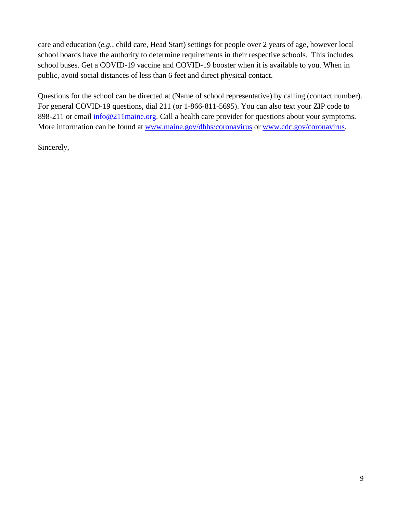care and education (*e.g.*, child care, Head Start) settings for people over 2 years of age, however local school boards have the authority to determine requirements in their respective schools. This includes school buses. Get a COVID-19 vaccine and COVID-19 booster when it is available to you. When in public, avoid social distances of less than 6 feet and direct physical contact.

Questions for the school can be directed at (Name of school representative) by calling (contact number). For general COVID-19 questions, dial 211 (or 1-866-811-5695). You can also text your ZIP code to 898-211 or email  $\frac{info@211maine.org}{info@211maine.org}$ . Call a health care provider for questions about your symptoms. More information can be found at [www.maine.gov/dhhs/coronavirus](http://www.maine.gov/dhhs/coronavirus) or [www.cdc.gov/coronavirus.](http://www.cdc.gov/coronavirus)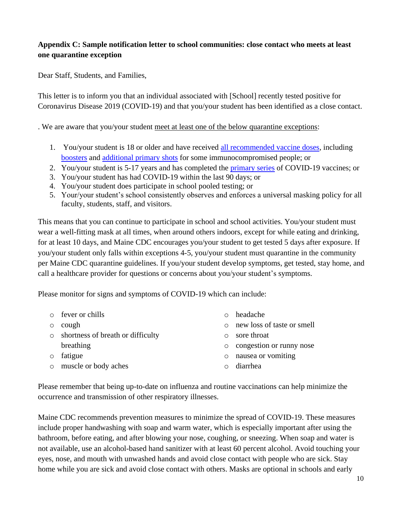## **Appendix C: Sample notification letter to school communities: close contact who meets at least one quarantine exception**

Dear Staff, Students, and Families,

This letter is to inform you that an individual associated with [School] recently tested positive for Coronavirus Disease 2019 (COVID-19) and that you/your student has been identified as a close contact.

. We are aware that you/your student meet at least one of the below quarantine exceptions:

- 1. You/your student is 18 or older and have received [all recommended vaccine doses,](https://www.cdc.gov/coronavirus/2019-ncov/vaccines/booster-shot.html) including [boosters](https://www.cdc.gov/coronavirus/2019-ncov/vaccines/booster-shot.html) and [additional primary shots](https://www.cdc.gov/coronavirus/2019-ncov/vaccines/recommendations/immuno.html) for some immunocompromised people; or
- 2. You/your student is 5-17 years and has completed the [primary series](https://www.cdc.gov/vaccines/covid-19/clinical-considerations/covid-19-vaccines-us.html?CDC_AA_refVal=https%3A%2F%2Fwww.cdc.gov%2Fvaccines%2Fcovid-19%2Finfo-by-product%2Fclinical-considerations.html#children) of COVID-19 vaccines; or
- 3. You/your student has had COVID-19 within the last 90 days; or
- 4. You/your student does participate in school pooled testing; or
- 5. Your/your student's school consistently observes and enforces a universal masking policy for all faculty, students, staff, and visitors.

This means that you can continue to participate in school and school activities. You/your student must wear a well-fitting mask at all times, when around others indoors, except for while eating and drinking, for at least 10 days, and Maine CDC encourages you/your student to get tested 5 days after exposure. If you/your student only falls within exceptions 4-5, you/your student must quarantine in the community per Maine CDC quarantine guidelines. If you/your student develop symptoms, get tested, stay home, and call a healthcare provider for questions or concerns about you/your student's symptoms.

Please monitor for signs and symptoms of COVID-19 which can include:

- o fever or chills
- o cough

o fatigue

o shortness of breath or difficulty breathing

- o headache
- o new loss of taste or smell
- o sore throat
- o congestion or runny nose
- o nausea or vomiting
- o muscle or body aches o diarrhea

Please remember that being up-to-date on influenza and routine vaccinations can help minimize the occurrence and transmission of other respiratory illnesses.

Maine CDC recommends prevention measures to minimize the spread of COVID-19. These measures include proper handwashing with soap and warm water, which is especially important after using the bathroom, before eating, and after blowing your nose, coughing, or sneezing. When soap and water is not available, use an alcohol-based hand sanitizer with at least 60 percent alcohol. Avoid touching your eyes, nose, and mouth with unwashed hands and avoid close contact with people who are sick. Stay home while you are sick and avoid close contact with others. Masks are optional in schools and early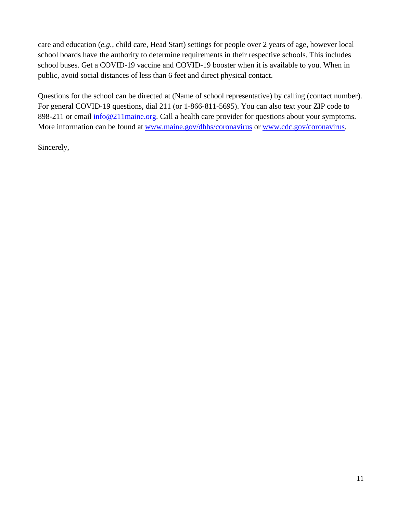care and education (*e.g.*, child care, Head Start) settings for people over 2 years of age, however local school boards have the authority to determine requirements in their respective schools. This includes school buses. Get a COVID-19 vaccine and COVID-19 booster when it is available to you. When in public, avoid social distances of less than 6 feet and direct physical contact.

Questions for the school can be directed at (Name of school representative) by calling (contact number). For general COVID-19 questions, dial 211 (or 1-866-811-5695). You can also text your ZIP code to 898-211 or email  $\frac{info@211maine.org}{info@211maine.org}$ . Call a health care provider for questions about your symptoms. More information can be found at [www.maine.gov/dhhs/coronavirus](http://www.maine.gov/dhhs/coronavirus) or [www.cdc.gov/coronavirus.](http://www.cdc.gov/coronavirus)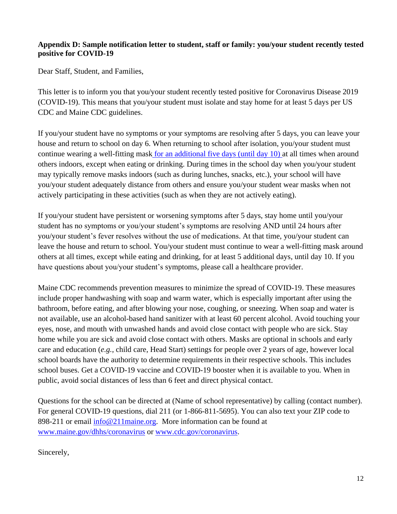#### **Appendix D: Sample notification letter to student, staff or family: you/your student recently tested positive for COVID-19**

Dear Staff, Student, and Families,

This letter is to inform you that you/your student recently tested positive for Coronavirus Disease 2019 (COVID-19). This means that you/your student must isolate and stay home for at least 5 days per US CDC and Maine CDC guidelines.

If you/your student have no symptoms or your symptoms are resolving after 5 days, you can leave your house and return to school on day 6. When returning to school after isolation, you/your student must continue [wearing a well-fitting mask](https://www.cdc.gov/coronavirus/2019-ncov/your-health/effective-masks.html) for an additional five days (until day 10) at all times when around others indoors, except when eating or drinking. During times in the school day when you/your student may typically remove masks indoors (such as during lunches, snacks, etc.), your school will have you/your student adequately distance from others and ensure you/your student wear masks when not actively participating in these activities (such as when they are not actively eating).

If you/your student have persistent or worsening symptoms after 5 days, stay home until you/your student has no symptoms or you/your student's symptoms are resolving AND until 24 hours after you/your student's fever resolves without the use of medications. At that time, you/your student can leave the house and return to school. You/your student must continue to wear a well-fitting mask around others at all times, except while eating and drinking, for at least 5 additional days, until day 10. If you have questions about you/your student's symptoms, please call a healthcare provider.

Maine CDC recommends prevention measures to minimize the spread of COVID-19. These measures include proper handwashing with soap and warm water, which is especially important after using the bathroom, before eating, and after blowing your nose, coughing, or sneezing. When soap and water is not available, use an alcohol-based hand sanitizer with at least 60 percent alcohol. Avoid touching your eyes, nose, and mouth with unwashed hands and avoid close contact with people who are sick. Stay home while you are sick and avoid close contact with others. Masks are optional in schools and early care and education (*e.g.*, child care, Head Start) settings for people over 2 years of age, however local school boards have the authority to determine requirements in their respective schools. This includes school buses. Get a COVID-19 vaccine and COVID-19 booster when it is available to you. When in public, avoid social distances of less than 6 feet and direct physical contact.

Questions for the school can be directed at (Name of school representative) by calling (contact number). For general COVID-19 questions, dial 211 (or 1-866-811-5695). You can also text your ZIP code to 898-211 or email [info@211maine.org.](mailto:info@211maine.org) More information can be found at [www.maine.gov/dhhs/coronavirus](http://www.maine.gov/dhhs/coronavirus) or [www.cdc.gov/coronavirus.](http://www.cdc.gov/coronavirus)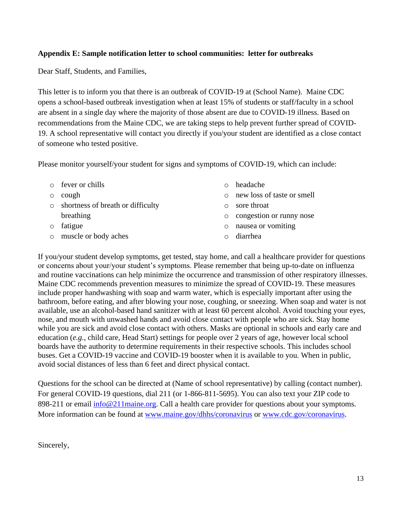#### **Appendix E: Sample notification letter to school communities: letter for outbreaks**

Dear Staff, Students, and Families,

This letter is to inform you that there is an outbreak of COVID-19 at (School Name). Maine CDC opens a school-based outbreak investigation when at least 15% of students or staff/faculty in a school are absent in a single day where the majority of those absent are due to COVID-19 illness. Based on recommendations from the Maine CDC, we are taking steps to help prevent further spread of COVID-19. A school representative will contact you directly if you/your student are identified as a close contact of someone who tested positive.

Please monitor yourself/your student for signs and symptoms of COVID-19, which can include:

|         | $\circ$ fever or chills           |         | headache                   |
|---------|-----------------------------------|---------|----------------------------|
| $\circ$ | cough                             |         | new loss of taste or smell |
| $\circ$ | shortness of breath or difficulty |         | sore throat                |
|         | breathing                         | $\circ$ | congestion or runny nose   |
| $\circ$ | fatigue                           | $\circ$ | nausea or vomiting         |
| $\circ$ | muscle or body aches              |         | diarrhea                   |
|         |                                   |         |                            |

If you/your student develop symptoms, get tested, stay home, and call a healthcare provider for questions or concerns about your/your student's symptoms. Please remember that being up-to-date on influenza and routine vaccinations can help minimize the occurrence and transmission of other respiratory illnesses. Maine CDC recommends prevention measures to minimize the spread of COVID-19. These measures include proper handwashing with soap and warm water, which is especially important after using the bathroom, before eating, and after blowing your nose, coughing, or sneezing. When soap and water is not available, use an alcohol-based hand sanitizer with at least 60 percent alcohol. Avoid touching your eyes, nose, and mouth with unwashed hands and avoid close contact with people who are sick. Stay home while you are sick and avoid close contact with others. Masks are optional in schools and early care and education (*e.g.*, child care, Head Start) settings for people over 2 years of age, however local school boards have the authority to determine requirements in their respective schools. This includes school buses. Get a COVID-19 vaccine and COVID-19 booster when it is available to you. When in public, avoid social distances of less than 6 feet and direct physical contact.

Questions for the school can be directed at (Name of school representative) by calling (contact number). For general COVID-19 questions, dial 211 (or 1-866-811-5695). You can also text your ZIP code to 898-211 or email [info@211maine.org.](mailto:info@211maine.org) Call a health care provider for questions about your symptoms. More information can be found at [www.maine.gov/dhhs/coronavirus](http://www.maine.gov/dhhs/coronavirus) or [www.cdc.gov/coronavirus.](http://www.cdc.gov/coronavirus)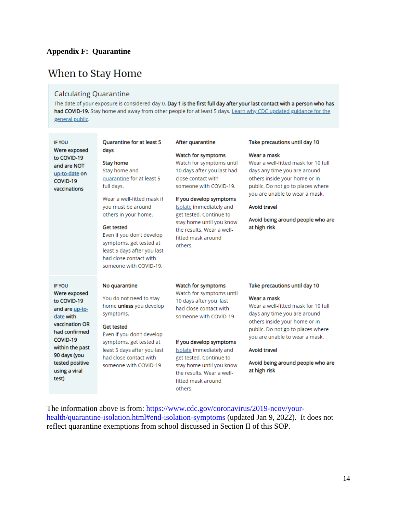## **Appendix F: Quarantine**

# When to Stay Home

# **Calculating Quarantine**

The date of your exposure is considered day 0. Day 1 is the first full day after your last contact with a person who has had COVID-19. Stay home and away from other people for at least 5 days. Learn why CDC updated guidance for the general public.

| <b>IF YOU</b><br>Were exposed<br>to COVID-19<br>and are NOT<br>up-to-date on<br>COVID-19<br>vaccinations                                                                                                   | Quarantine for at least 5<br>days<br><b>Stay home</b><br>Stay home and<br>quarantine for at least 5<br>full days.<br>Wear a well-fitted mask if<br>you must be around<br>others in your home.<br><b>Get tested</b><br>Even if you don't develop<br>symptoms, get tested at<br>least 5 days after you last<br>had close contact with<br>someone with COVID-19. | After quarantine<br>Watch for symptoms<br>Watch for symptoms until<br>10 days after you last had<br>close contact with<br>someone with COVID-19.<br>If you develop symptoms<br>Isolate immediately and<br>get tested. Continue to<br>stay home until you know<br>the results. Wear a well-<br>fitted mask around<br>others. | Take precautions until day 10<br>Wear a mask<br>Wear a well-fitted mask for 10 full<br>days any time you are around<br>others inside your home or in<br>public. Do not go to places where<br>you are unable to wear a mask.<br><b>Avoid travel</b><br>Avoid being around people who are<br>at high risk |
|------------------------------------------------------------------------------------------------------------------------------------------------------------------------------------------------------------|---------------------------------------------------------------------------------------------------------------------------------------------------------------------------------------------------------------------------------------------------------------------------------------------------------------------------------------------------------------|-----------------------------------------------------------------------------------------------------------------------------------------------------------------------------------------------------------------------------------------------------------------------------------------------------------------------------|---------------------------------------------------------------------------------------------------------------------------------------------------------------------------------------------------------------------------------------------------------------------------------------------------------|
| <b>IF YOU</b><br>Were exposed<br>to COVID-19<br>and are up-to-<br>date with<br>vaccination OR<br>had confirmed<br>COVID-19<br>within the past<br>90 days (you<br>tested positive<br>using a viral<br>test) | No quarantine<br>You do not need to stay<br>home unless you develop<br>symptoms.<br><b>Get tested</b><br>Even if you don't develop<br>symptoms, get tested at<br>least 5 days after you last<br>had close contact with<br>someone with COVID-19                                                                                                               | Watch for symptoms<br>Watch for symptoms until<br>10 days after you last<br>had close contact with<br>someone with COVID-19.<br>If you develop symptoms<br><b>Isolate</b> immediately and<br>get tested. Continue to<br>stay home until you know<br>the results. Wear a well-<br>fitted mask around<br>others.              | Take precautions until day 10<br>Wear a mask<br>Wear a well-fitted mask for 10 full<br>days any time you are around<br>others inside your home or in<br>public. Do not go to places where<br>you are unable to wear a mask.<br>Avoid travel<br>Avoid being around people who are<br>at high risk        |

The information above is from: [https://www.cdc.gov/coronavirus/2019-ncov/your](https://www.cdc.gov/coronavirus/2019-ncov/your-health/quarantine-isolation.html#end-isolation-symptoms)[health/quarantine-isolation.html#end-isolation-symptoms](https://www.cdc.gov/coronavirus/2019-ncov/your-health/quarantine-isolation.html#end-isolation-symptoms) (updated Jan 9, 2022). It does not reflect quarantine exemptions from school discussed in Section II of this SOP.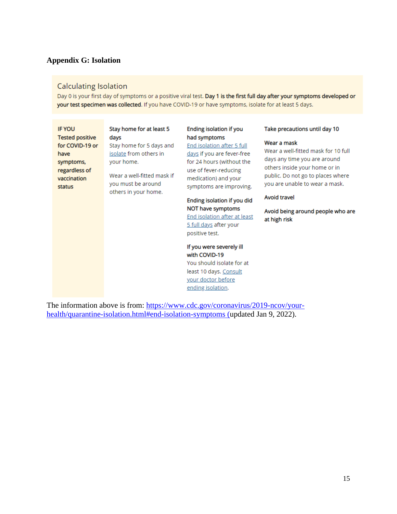#### **Appendix G: Isolation**

### **Calculating Isolation**

Day 0 is your first day of symptoms or a positive viral test. Day 1 is the first full day after your symptoms developed or your test specimen was collected. If you have COVID-19 or have symptoms, isolate for at least 5 days.

| <b>IF YOU</b><br><b>Tested positive</b><br>for COVID-19 or<br>have<br>symptoms,<br>regardless of<br>vaccination<br>status | Stay home for at least 5<br>days<br>Stay home for 5 days and<br>isolate from others in<br>your home.<br>Wear a well-fitted mask if<br>you must be around<br>others in your home. | Ending isolation if you<br>had symptoms<br>End isolation after 5 full<br>days if you are fever-free<br>for 24 hours (without the<br>use of fever-reducing<br>medication) and your<br>symptoms are improving.<br>Ending isolation if you did<br>NOT have symptoms<br>End isolation after at least<br><u>5 full days</u> after your<br>positive test. | Take precautions until day 10<br>Wear a mask<br>Wear a well-fitted mask for 10 full<br>days any time you are around<br>others inside your home or in<br>public. Do not go to places where<br>you are unable to wear a mask.<br>Avoid travel<br>Avoid being around people who are<br>at high risk |
|---------------------------------------------------------------------------------------------------------------------------|----------------------------------------------------------------------------------------------------------------------------------------------------------------------------------|-----------------------------------------------------------------------------------------------------------------------------------------------------------------------------------------------------------------------------------------------------------------------------------------------------------------------------------------------------|--------------------------------------------------------------------------------------------------------------------------------------------------------------------------------------------------------------------------------------------------------------------------------------------------|
|                                                                                                                           |                                                                                                                                                                                  | If you were severely ill<br>with COVID-19<br>You should isolate for at<br>least 10 days. Consult<br>your doctor before<br>ending isolation.                                                                                                                                                                                                         |                                                                                                                                                                                                                                                                                                  |

The information above is from: [https://www.cdc.gov/coronavirus/2019-ncov/your](https://www.cdc.gov/coronavirus/2019-ncov/your-health/quarantine-isolation.html#end-isolation-symptoms)[health/quarantine-isolation.html#end-isolation-symptoms](https://www.cdc.gov/coronavirus/2019-ncov/your-health/quarantine-isolation.html#end-isolation-symptoms) (updated Jan 9, 2022).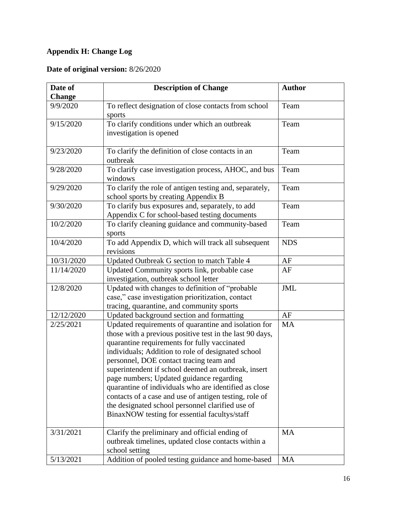# **Appendix H: Change Log**

# **Date of original version:** 8/26/2020

| Date of<br><b>Description of Change</b> |                                                                                                                                                                                                                                                                                                                                                                                                                                                                                                                                                                                              | <b>Author</b> |  |
|-----------------------------------------|----------------------------------------------------------------------------------------------------------------------------------------------------------------------------------------------------------------------------------------------------------------------------------------------------------------------------------------------------------------------------------------------------------------------------------------------------------------------------------------------------------------------------------------------------------------------------------------------|---------------|--|
| <b>Change</b>                           |                                                                                                                                                                                                                                                                                                                                                                                                                                                                                                                                                                                              |               |  |
| 9/9/2020                                | To reflect designation of close contacts from school<br>sports                                                                                                                                                                                                                                                                                                                                                                                                                                                                                                                               | Team          |  |
| 9/15/2020                               | To clarify conditions under which an outbreak<br>investigation is opened                                                                                                                                                                                                                                                                                                                                                                                                                                                                                                                     | Team          |  |
| 9/23/2020                               | To clarify the definition of close contacts in an<br>outbreak                                                                                                                                                                                                                                                                                                                                                                                                                                                                                                                                | Team          |  |
| 9/28/2020                               | To clarify case investigation process, AHOC, and bus<br>windows                                                                                                                                                                                                                                                                                                                                                                                                                                                                                                                              | Team          |  |
| 9/29/2020                               | To clarify the role of antigen testing and, separately,<br>school sports by creating Appendix B                                                                                                                                                                                                                                                                                                                                                                                                                                                                                              | Team          |  |
| 9/30/2020                               | To clarify bus exposures and, separately, to add<br>Appendix C for school-based testing documents                                                                                                                                                                                                                                                                                                                                                                                                                                                                                            | Team          |  |
| 10/2/2020                               | To clarify cleaning guidance and community-based<br>sports                                                                                                                                                                                                                                                                                                                                                                                                                                                                                                                                   | Team          |  |
| 10/4/2020                               | To add Appendix D, which will track all subsequent<br>revisions                                                                                                                                                                                                                                                                                                                                                                                                                                                                                                                              | <b>NDS</b>    |  |
| 10/31/2020                              | Updated Outbreak G section to match Table 4                                                                                                                                                                                                                                                                                                                                                                                                                                                                                                                                                  | AF            |  |
| 11/14/2020                              | Updated Community sports link, probable case<br>investigation, outbreak school letter                                                                                                                                                                                                                                                                                                                                                                                                                                                                                                        | AF            |  |
| 12/8/2020                               | Updated with changes to definition of "probable<br>case," case investigation prioritization, contact<br>tracing, quarantine, and community sports                                                                                                                                                                                                                                                                                                                                                                                                                                            | <b>JML</b>    |  |
| 12/12/2020                              | Updated background section and formatting                                                                                                                                                                                                                                                                                                                                                                                                                                                                                                                                                    | AF            |  |
| 2/25/2021                               | Updated requirements of quarantine and isolation for<br>those with a previous positive test in the last 90 days,<br>quarantine requirements for fully vaccinated<br>individuals; Addition to role of designated school<br>personnel, DOE contact tracing team and<br>superintendent if school deemed an outbreak, insert<br>page numbers; Updated guidance regarding<br>quarantine of individuals who are identified as close<br>contacts of a case and use of antigen testing, role of<br>the designated school personnel clarified use of<br>BinaxNOW testing for essential facultys/staff | MA            |  |
| 3/31/2021                               | Clarify the preliminary and official ending of<br>outbreak timelines, updated close contacts within a<br>school setting                                                                                                                                                                                                                                                                                                                                                                                                                                                                      | MA            |  |
| 5/13/2021                               | Addition of pooled testing guidance and home-based                                                                                                                                                                                                                                                                                                                                                                                                                                                                                                                                           | <b>MA</b>     |  |